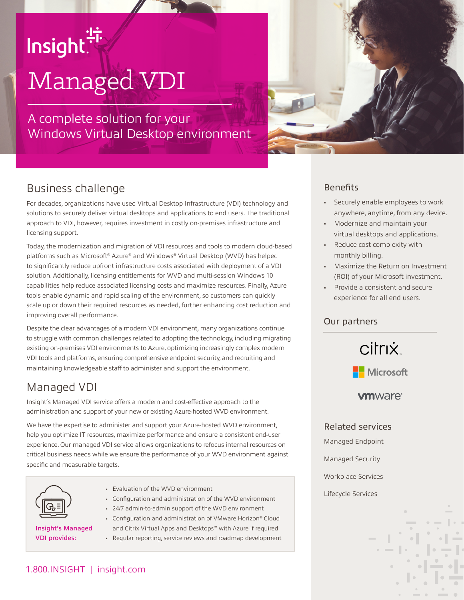# Insight.<sup>"</sup>

# Managed VDI

A complete solution for your Windows Virtual Desktop environment



## Business challenge

For decades, organizations have used Virtual Desktop Infrastructure (VDI) technology and solutions to securely deliver virtual desktops and applications to end users. The traditional approach to VDI, however, requires investment in costly on-premises infrastructure and licensing support.

Today, the modernization and migration of VDI resources and tools to modern cloud-based platforms such as Microsoft® Azure® and Windows® Virtual Desktop (WVD) has helped to significantly reduce upfront infrastructure costs associated with deployment of a VDI solution. Additionally, licensing entitlements for WVD and multi-session Windows 10 capabilities help reduce associated licensing costs and maximize resources. Finally, Azure tools enable dynamic and rapid scaling of the environment, so customers can quickly scale up or down their required resources as needed, further enhancing cost reduction and improving overall performance.

Despite the clear advantages of a modern VDI environment, many organizations continue to struggle with common challenges related to adopting the technology, including migrating existing on-premises VDI environments to Azure, optimizing increasingly complex modern VDI tools and platforms, ensuring comprehensive endpoint security, and recruiting and maintaining knowledgeable staff to administer and support the environment.

## Managed VDI

Insight's Managed VDI service offers a modern and cost-effective approach to the administration and support of your new or existing Azure-hosted WVD environment.

We have the expertise to administer and support your Azure-hosted WVD environment, help you optimize IT resources, maximize performance and ensure a consistent end-user experience. Our managed VDI service allows organizations to refocus internal resources on critical business needs while we ensure the performance of your WVD environment against specific and measurable targets.



- Evaluation of the WVD environment
- Configuration and administration of the WVD environment
- 24/7 admin-to-admin support of the WVD environment

Insight's Managed VDI provides:

• Configuration and administration of VMware Horizon® Cloud and Citrix Virtual Apps and Desktops™ with Azure if required • Regular reporting, service reviews and roadmap development

#### **Benefits**

- Securely enable employees to work anywhere, anytime, from any device.
- Modernize and maintain your virtual desktops and applications.
- Reduce cost complexity with monthly billing.
- Maximize the Return on Investment (ROI) of your Microsoft investment.
- Provide a consistent and secure experience for all end users.

#### Our partners



#### **vm**ware<sup>®</sup>

Related services

Managed Endpoint

Managed Security

Workplace Services

Lifecycle Services